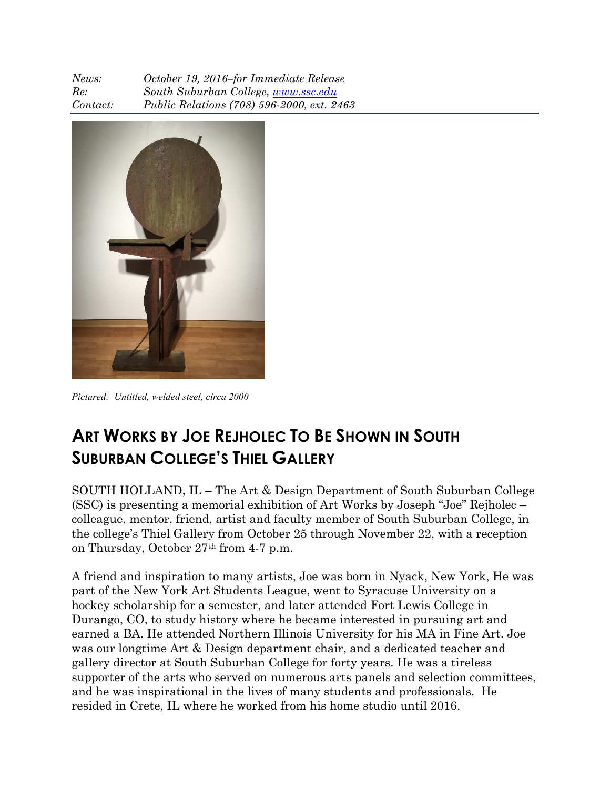| News:    | October 19, 2016-for Immediate Release     |
|----------|--------------------------------------------|
| Re:      | South Suburban College, www.ssc.edu        |
| Contact: | Public Relations (708) 596-2000, ext. 2463 |



*Pictured: Untitled, welded steel, circa 2000*

## **ART WORKS BY JOE REJHOLEC TO BE SHOWN IN SOUTH SUBURBAN COLLEGE'S THIEL GALLERY**

SOUTH HOLLAND, IL – The Art & Design Department of South Suburban College (SSC) is presenting a memorial exhibition of Art Works by Joseph "Joe" Rejholec – colleague, mentor, friend, artist and faculty member of South Suburban College, in the college's Thiel Gallery from October 25 through November 22, with a reception on Thursday, October 27th from 4-7 p.m.

A friend and inspiration to many artists, Joe was born in Nyack, New York, He was part of the New York Art Students League, went to Syracuse University on a hockey scholarship for a semester, and later attended Fort Lewis College in Durango, CO, to study history where he became interested in pursuing art and earned a BA. He attended Northern Illinois University for his MA in Fine Art. Joe was our longtime Art & Design department chair, and a dedicated teacher and gallery director at South Suburban College for forty years. He was a tireless supporter of the arts who served on numerous arts panels and selection committees, and he was inspirational in the lives of many students and professionals. He resided in Crete, IL where he worked from his home studio until 2016.